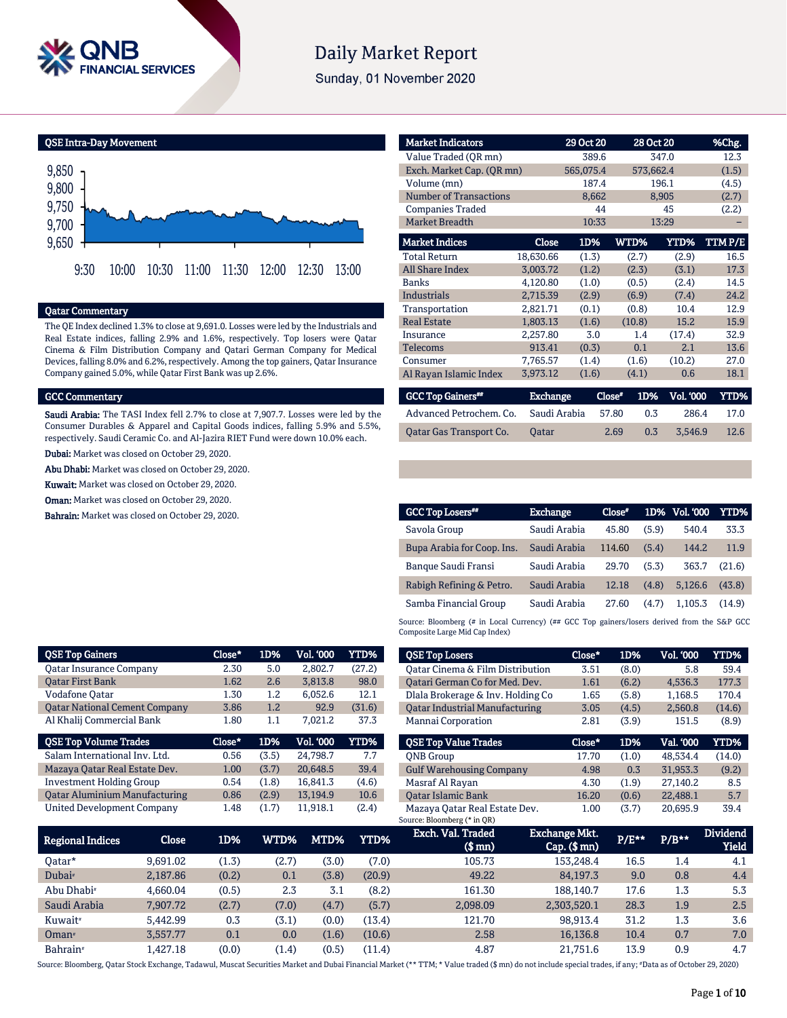

# Daily Market Report

Sunday, 01 November 2020

QSE Intra-Day Movement 9,750 9,800 9,850

9,650 9,700 9:30 10:00 10:30 11:00 11:30 12:00 12:30 13:00

## Qatar Commentary

The QE Index declined 1.3% to close at 9,691.0. Losses were led by the Industrials and Real Estate indices, falling 2.9% and 1.6%, respectively. Top losers were Qatar Cinema & Film Distribution Company and Qatari German Company for Medical Devices, falling 8.0% and 6.2%, respectively. Among the top gainers, Qatar Insurance Company gained 5.0%, while Qatar First Bank was up 2.6%.

#### GCC Commentary

Saudi Arabia: The TASI Index fell 2.7% to close at 7,907.7. Losses were led by the Consumer Durables & Apparel and Capital Goods indices, falling 5.9% and 5.5%, respectively. Saudi Ceramic Co. and Al-Jazira RIET Fund were down 10.0% each.

Dubai: Market was closed on October 29, 2020.

Abu Dhabi: Market was closed on October 29, 2020.

Kuwait: Market was closed on October 29, 2020.

Oman: Market was closed on October 29, 2020.

Bahrain: Market was closed on October 29, 2020.

| <b>Market Indicators</b>      |                 | 29 Oct 20 |               | 28 Oct 20        | %Chg.       |
|-------------------------------|-----------------|-----------|---------------|------------------|-------------|
| Value Traded (OR mn)          |                 | 389.6     |               | 347.0            | 12.3        |
| Exch. Market Cap. (QR mn)     |                 | 565,075.4 |               | 573,662.4        | (1.5)       |
| Volume (mn)                   |                 | 187.4     |               | 196.1            | (4.5)       |
| <b>Number of Transactions</b> |                 | 8,662     |               | 8,905            | (2.7)       |
| <b>Companies Traded</b>       |                 | 44        |               | 45               | (2.2)       |
| <b>Market Breadth</b>         |                 | 10:33     |               | 13:29            |             |
| <b>Market Indices</b>         | <b>Close</b>    | 1D%       | WTD%          | YTD%             | TTMP/E      |
| <b>Total Return</b>           | 18,630.66       | (1.3)     | (2.7)         | (2.9)            | 16.5        |
| <b>All Share Index</b>        | 3,003.72        | (1.2)     | (2.3)         | (3.1)            | 17.3        |
| <b>Banks</b>                  | 4,120.80        | (1.0)     | (0.5)         | (2.4)            | 14.5        |
| <b>Industrials</b>            | 2,715.39        | (2.9)     | (6.9)         | (7.4)            | 24.2        |
| Transportation                | 2,821.71        | (0.1)     | (0.8)         | 10.4             | 12.9        |
| <b>Real Estate</b>            | 1,803.13        | (1.6)     | (10.8)        | 15.2             | 15.9        |
| Insurance                     | 2,257.80        | 3.0       | 1.4           | (17.4)           | 32.9        |
| Telecoms                      | 913.41          | (0.3)     | 0.1           | 2.1              | 13.6        |
| Consumer                      | 7,765.57        | (1.4)     | (1.6)         | (10.2)           | 27.0        |
| Al Rayan Islamic Index        | 3,973.12        | (1.6)     | (4.1)         | 0.6              | 18.1        |
| <b>GCC Top Gainers**</b>      | <b>Exchange</b> |           | Close*<br>1D% | <b>Vol. '000</b> | <b>YTD%</b> |
| Advanced Petrochem. Co.       | Saudi Arabia    |           | 57.80         | 0.3<br>286.4     | 17.0        |

| <b>GCC Top Losers**</b>    | <b>Exchange</b> | $Close*$ |       | 1D% Vol. 000 | YTD%   |
|----------------------------|-----------------|----------|-------|--------------|--------|
| Savola Group               | Saudi Arabia    | 45.80    | (5.9) | 540.4        | 33.3   |
| Bupa Arabia for Coop. Ins. | Saudi Arabia    | 114.60   | (5.4) | 144.2        | 11.9   |
| Banque Saudi Fransi        | Saudi Arabia    | 29.70    | (5.3) | 363.7        | (21.6) |
| Rabigh Refining & Petro.   | Saudi Arabia    | 12.18    | (4.8) | 5.126.6      | (43.8) |
| Samba Financial Group      | Saudi Arabia    | 27.60    | (4.7) | 1.105.3      | (14.9) |

Qatar Gas Transport Co. Qatar 2.69 0.3 3,546.9 12.6

Source: Bloomberg (# in Local Currency) (## GCC Top gainers/losers derived from the S&P GCC Composite Large Mid Cap Index)

| <b>QSE Top Gainers</b>               | Close* | 1D%   | <b>Vol. '000</b> | <b>YTD%</b> |
|--------------------------------------|--------|-------|------------------|-------------|
| <b>Oatar Insurance Company</b>       | 2.30   | 5.0   | 2.802.7          | (27.2)      |
| <b>Oatar First Bank</b>              | 1.62   | 2.6   | 3,813.8          | 98.0        |
| <b>Vodafone Qatar</b>                | 1.30   | 1.2   | 6,052.6          | 12.1        |
| <b>Oatar National Cement Company</b> | 3.86   | 1.2   | 92.9             | (31.6)      |
| Al Khalij Commercial Bank            | 1.80   | 1.1   | 7,021.2          | 37.3        |
|                                      |        |       |                  |             |
| <b>QSE Top Volume Trades</b>         | Close* | 1D%   | <b>Vol. '000</b> | <b>YTD%</b> |
| Salam International Inv. Ltd.        | 0.56   | (3.5) | 24.798.7         | 7.7         |
| Mazaya Qatar Real Estate Dev.        | 1.00   | (3.7) | 20,648.5         | 39.4        |
| <b>Investment Holding Group</b>      | 0.54   | (1.8) | 16,841.3         | (4.6)       |
| <b>Qatar Aluminium Manufacturing</b> | 0.86   | (2.9) | 13,194.9         | 10.6        |

| <b>QSE Top Losers</b>                 | Close* | 1D%   | <b>Vol. '000</b> | <b>YTD%</b> |
|---------------------------------------|--------|-------|------------------|-------------|
| Oatar Cinema & Film Distribution      | 3.51   | (8.0) | 5.8              | 59.4        |
| Oatari German Co for Med. Dev.        | 1.61   | (6.2) | 4.536.3          | 177.3       |
| Dlala Brokerage & Inv. Holding Co     | 1.65   | (5.8) | 1,168.5          | 170.4       |
| <b>Qatar Industrial Manufacturing</b> | 3.05   | (4.5) | 2,560.8          | (14.6)      |
| Mannai Corporation                    | 2.81   | (3.9) | 151.5            | (8.9)       |
| <b>OSE Top Value Trades</b>           | Close* | 1D%   | Val. '000        | <b>YTD%</b> |
| <b>ONB</b> Group                      | 17.70  | (1.0) | 48.534.4         | (14.0)      |
| <b>Gulf Warehousing Company</b>       | 4.98   | 0.3   | 31,953.3         | (9.2)       |
| Masraf Al Rayan                       | 4.30   | (1.9) | 27.140.2         | 8.5         |
| <b>Oatar Islamic Bank</b>             | 16.20  | (0.6) | 22.488.1         | 5.7         |
| Mazaya Qatar Real Estate Dev.         | 1.00   | (3.7) | 20.695.9         | 39.4        |

| Regional Indices       | Close            | 1D%   | WTD%  | MTD%  | <b>YTD%</b> | Exch. Val. Traded<br>$$$ mn $)$ | <b>Exchange Mkt.</b><br>$Cap.$ (\$ mn) | P/E** | $P/B***$ | <b>Dividend</b><br>Yield |
|------------------------|------------------|-------|-------|-------|-------------|---------------------------------|----------------------------------------|-------|----------|--------------------------|
| 0atar*                 | 9.691.02         | (1.3) | (2.7) | (3.0) | (7.0)       | 105.73                          | 153,248.4                              | 16.5  | 1.4      | 4.1                      |
| Dubai <sup>*</sup>     | 2.187.86         | (0.2) | 0.1   | (3.8) | (20.9)      | 49.22                           | 84.197.3                               | 9.0   | 0.8      | 4.4                      |
| Abu Dhabi <sup>*</sup> | 4.660.04         | (0.5) | 2.3   | 3.1   | (8.2)       | 161.30                          | 188,140.7                              | 17.6  | 1.3      | 5.3                      |
| Saudi Arabia           | 7.907.72         | (2.7) | (7.0) | (4.7) | (5.7)       | 2,098.09                        | 2,303,520.1                            | 28.3  | 1.9      | 2.5                      |
| Kuwait <sup>*</sup>    | 5.442.99         | 0.3   | (3.1) | (0.0) | (13.4)      | 121.70                          | 98.913.4                               | 31.2  | 1.3      | 3.6                      |
| $O$ man <sup>#</sup>   | 3.557.77         | 0.1   | 0.0   | (1.6) | (10.6)      | 2.58                            | 16,136.8                               | 10.4  | 0.7      | 7.0                      |
| Bahrain <sup>*</sup>   | l <b>.427.18</b> | (0.0) | (1.4) | (0.5) | (11.4)      | 4.87                            | 21.751.6                               | 13.9  | 0.9      | 4.7                      |

Source: Bloomberg, Qatar Stock Exchange, Tadawul, Muscat Securities Market and Dubai Financial Market (\*\* TTM; \* Value traded (\$ mn) do not include special trades, if any; #Data as of October 29, 2020)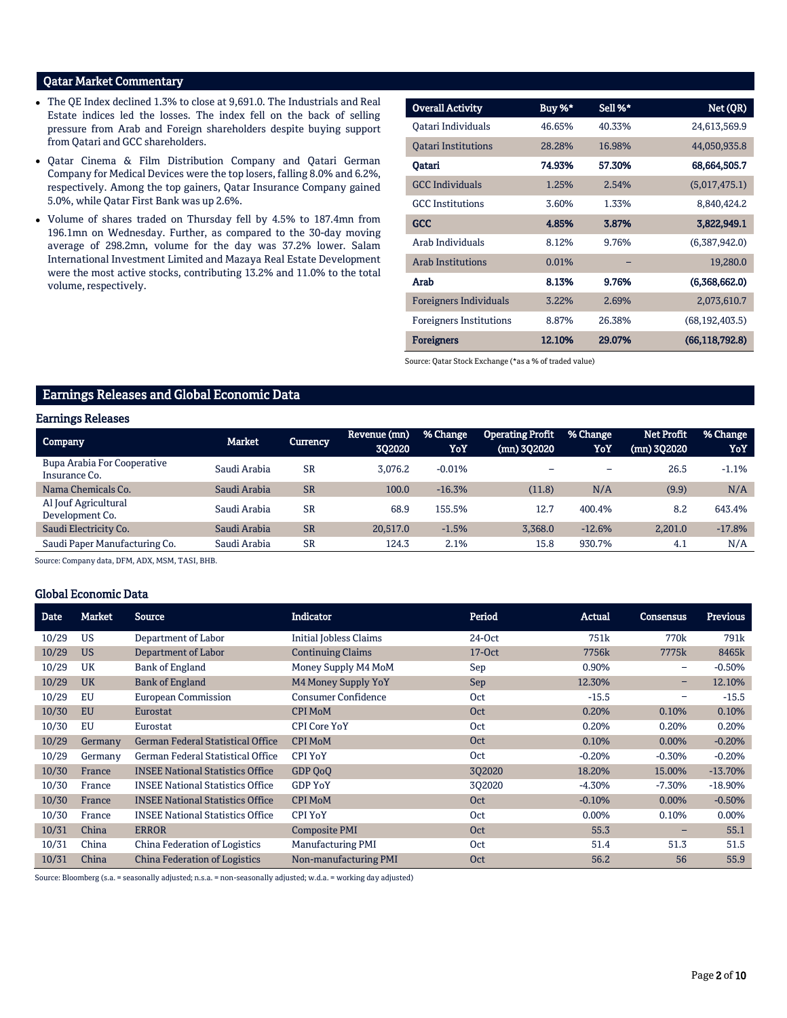# Qatar Market Commentary

- The QE Index declined 1.3% to close at 9,691.0. The Industrials and Real Estate indices led the losses. The index fell on the back of selling pressure from Arab and Foreign shareholders despite buying support from Qatari and GCC shareholders.
- Qatar Cinema & Film Distribution Company and Qatari German Company for Medical Devices were the top losers, falling 8.0% and 6.2%, respectively. Among the top gainers, Qatar Insurance Company gained 5.0%, while Qatar First Bank was up 2.6%.
- Volume of shares traded on Thursday fell by 4.5% to 187.4mn from 196.1mn on Wednesday. Further, as compared to the 30-day moving average of 298.2mn, volume for the day was 37.2% lower. Salam International Investment Limited and Mazaya Real Estate Development were the most active stocks, contributing 13.2% and 11.0% to the total volume, respectively.

| <b>Overall Activity</b>        | Buy %* | Sell %* | Net (QR)         |
|--------------------------------|--------|---------|------------------|
| Oatari Individuals             | 46.65% | 40.33%  | 24,613,569.9     |
| <b>Oatari Institutions</b>     | 28.28% | 16.98%  | 44,050,935.8     |
| Qatari                         | 74.93% | 57.30%  | 68,664,505.7     |
| <b>GCC</b> Individuals         | 1.25%  | 2.54%   | (5,017,475.1)    |
| <b>GCC</b> Institutions        | 3.60%  | 1.33%   | 8,840,424.2      |
| <b>GCC</b>                     | 4.85%  | 3.87%   | 3,822,949.1      |
| Arab Individuals               | 8.12%  | 9.76%   | (6,387,942.0)    |
| <b>Arab Institutions</b>       | 0.01%  |         | 19,280.0         |
| Arab                           | 8.13%  | 9.76%   | (6,368,662.0)    |
| <b>Foreigners Individuals</b>  | 3.22%  | 2.69%   | 2,073,610.7      |
| <b>Foreigners Institutions</b> | 8.87%  | 26.38%  | (68, 192, 403.5) |
| <b>Foreigners</b>              | 12.10% | 29.07%  | (66, 118, 792.8) |

Source: Qatar Stock Exchange (\*as a % of traded value)

# Earnings Releases and Global Economic Data

## Earnings Releases

| <b>Company</b>                                      | <b>Market</b> | <b>Currency</b> | Revenue (mn)<br>302020 | % Change<br>YoY | <b>Operating Profit</b><br>(mn) 302020 | % Change<br>YoY | <b>Net Profit</b><br>$(mn)$ 302020 | % Change<br>YoY |
|-----------------------------------------------------|---------------|-----------------|------------------------|-----------------|----------------------------------------|-----------------|------------------------------------|-----------------|
| <b>Bupa Arabia For Cooperative</b><br>Insurance Co. | Saudi Arabia  | <b>SR</b>       | 3.076.2                | $-0.01%$        |                                        |                 | 26.5                               | $-1.1%$         |
| Nama Chemicals Co.                                  | Saudi Arabia  | <b>SR</b>       | 100.0                  | $-16.3%$        | (11.8)                                 | N/A             | (9.9)                              | N/A             |
| Al Jouf Agricultural<br>Development Co.             | Saudi Arabia  | <b>SR</b>       | 68.9                   | 155.5%          | 12.7                                   | 400.4%          | 8.2                                | 643.4%          |
| Saudi Electricity Co.                               | Saudi Arabia  | <b>SR</b>       | 20.517.0               | $-1.5%$         | 3,368.0                                | $-12.6%$        | 2,201.0                            | $-17.8%$        |
| Saudi Paper Manufacturing Co.                       | Saudi Arabia  | <b>SR</b>       | 124.3                  | 2.1%            | 15.8                                   | 930.7%          | 4.1                                | N/A             |

Source: Company data, DFM, ADX, MSM, TASI, BHB.

### Global Economic Data

| Date  | <b>Market</b> | <b>Source</b>                            | <b>Indicator</b>              | Period     | Actual           | <b>Consensus</b> | <b>Previous</b>  |
|-------|---------------|------------------------------------------|-------------------------------|------------|------------------|------------------|------------------|
| 10/29 | <b>US</b>     | Department of Labor                      | <b>Initial Jobless Claims</b> | $24-Oct$   | 751 <sub>k</sub> | 770 <sub>k</sub> | 791 <sub>k</sub> |
| 10/29 | <b>US</b>     | Department of Labor                      | <b>Continuing Claims</b>      | $17-Oct$   | 7756k            | 7775k            | 8465k            |
| 10/29 | UK            | Bank of England                          | Money Supply M4 MoM           | Sep        | 0.90%            | -                | $-0.50%$         |
| 10/29 | <b>UK</b>     | <b>Bank of England</b>                   | M4 Money Supply YoY           | <b>Sep</b> | 12.30%           | -                | 12.10%           |
| 10/29 | EU            | <b>European Commission</b>               | <b>Consumer Confidence</b>    | Oct        | $-15.5$          | -                | $-15.5$          |
| 10/30 | EU            | Eurostat                                 | <b>CPI MoM</b>                | Oct        | 0.20%            | 0.10%            | 0.10%            |
| 10/30 | EU            | Eurostat                                 | <b>CPI Core YoY</b>           | Oct        | 0.20%            | 0.20%            | 0.20%            |
| 10/29 | Germany       | <b>German Federal Statistical Office</b> | <b>CPI MoM</b>                | Oct        | 0.10%            | $0.00\%$         | $-0.20%$         |
| 10/29 | Germany       | German Federal Statistical Office        | <b>CPI YoY</b>                | Oct        | $-0.20%$         | $-0.30%$         | $-0.20%$         |
| 10/30 | France        | <b>INSEE National Statistics Office</b>  | GDP OoO                       | 3Q2020     | 18.20%           | 15.00%           | $-13.70%$        |
| 10/30 | France        | <b>INSEE National Statistics Office</b>  | <b>GDP YoY</b>                | 302020     | $-4.30%$         | -7.30%           | $-18.90\%$       |
| 10/30 | France        | <b>INSEE National Statistics Office</b>  | <b>CPI MoM</b>                | Oct        | $-0.10%$         | $0.00\%$         | $-0.50%$         |
| 10/30 | France        | <b>INSEE National Statistics Office</b>  | <b>CPI YoY</b>                | Oct        | 0.00%            | 0.10%            | 0.00%            |
| 10/31 | China         | <b>ERROR</b>                             | Composite PMI                 | Oct        | 55.3             |                  | 55.1             |
| 10/31 | China         | China Federation of Logistics            | <b>Manufacturing PMI</b>      | Oct        | 51.4             | 51.3             | 51.5             |
| 10/31 | China         | <b>China Federation of Logistics</b>     | Non-manufacturing PMI         | Oct        | 56.2             | 56               | 55.9             |

Source: Bloomberg (s.a. = seasonally adjusted; n.s.a. = non-seasonally adjusted; w.d.a. = working day adjusted)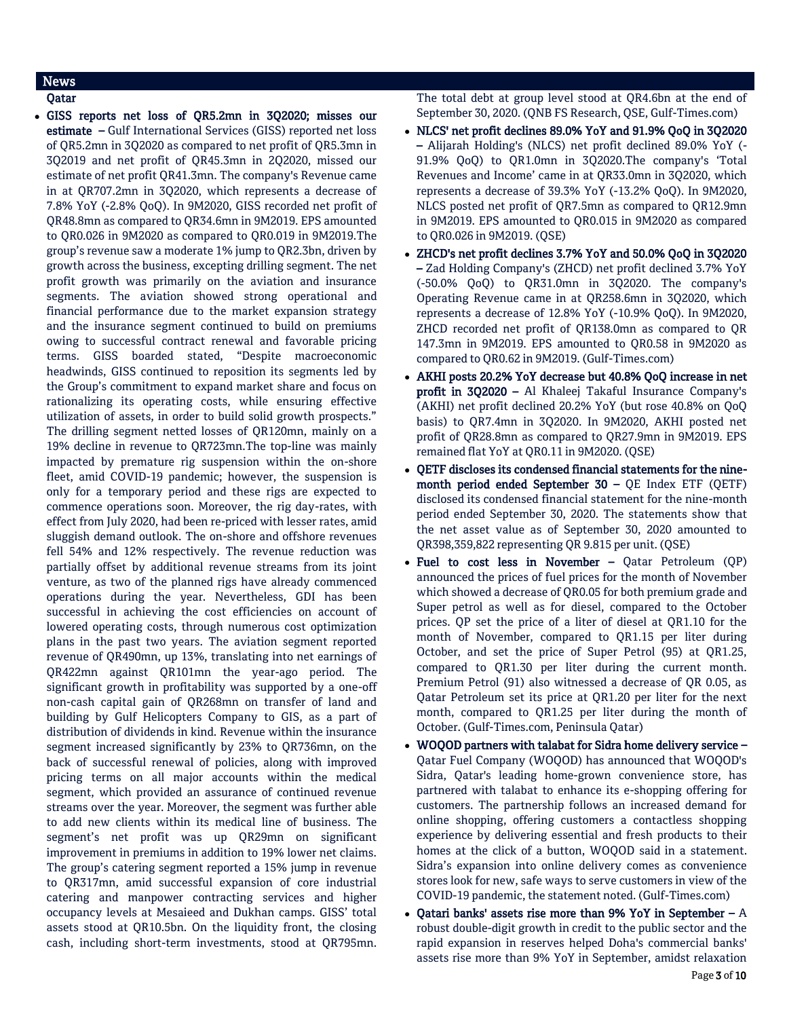# News

Qatar

 GISS reports net loss of QR5.2mn in 3Q2020; misses our estimate – Gulf International Services (GISS) reported net loss of QR5.2mn in 3Q2020 as compared to net profit of QR5.3mn in 3Q2019 and net profit of QR45.3mn in 2Q2020, missed our estimate of net profit QR41.3mn. The company's Revenue came in at QR707.2mn in 3Q2020, which represents a decrease of 7.8% YoY (-2.8% QoQ). In 9M2020, GISS recorded net profit of QR48.8mn as compared to QR34.6mn in 9M2019. EPS amounted to QR0.026 in 9M2020 as compared to QR0.019 in 9M2019.The group's revenue saw a moderate 1% jump to QR2.3bn, driven by growth across the business, excepting drilling segment. The net profit growth was primarily on the aviation and insurance segments. The aviation showed strong operational and financial performance due to the market expansion strategy and the insurance segment continued to build on premiums owing to successful contract renewal and favorable pricing terms. GISS boarded stated, "Despite macroeconomic headwinds, GISS continued to reposition its segments led by the Group's commitment to expand market share and focus on rationalizing its operating costs, while ensuring effective utilization of assets, in order to build solid growth prospects." The drilling segment netted losses of QR120mn, mainly on a 19% decline in revenue to QR723mn.The top-line was mainly impacted by premature rig suspension within the on-shore fleet, amid COVID-19 pandemic; however, the suspension is only for a temporary period and these rigs are expected to commence operations soon. Moreover, the rig day-rates, with effect from July 2020, had been re-priced with lesser rates, amid sluggish demand outlook. The on-shore and offshore revenues fell 54% and 12% respectively. The revenue reduction was partially offset by additional revenue streams from its joint venture, as two of the planned rigs have already commenced operations during the year. Nevertheless, GDI has been successful in achieving the cost efficiencies on account of lowered operating costs, through numerous cost optimization plans in the past two years. The aviation segment reported revenue of QR490mn, up 13%, translating into net earnings of QR422mn against QR101mn the year-ago period. The significant growth in profitability was supported by a one-off non-cash capital gain of QR268mn on transfer of land and building by Gulf Helicopters Company to GIS, as a part of distribution of dividends in kind. Revenue within the insurance segment increased significantly by 23% to QR736mn, on the back of successful renewal of policies, along with improved pricing terms on all major accounts within the medical segment, which provided an assurance of continued revenue streams over the year. Moreover, the segment was further able to add new clients within its medical line of business. The segment's net profit was up QR29mn on significant improvement in premiums in addition to 19% lower net claims. The group's catering segment reported a 15% jump in revenue to QR317mn, amid successful expansion of core industrial catering and manpower contracting services and higher occupancy levels at Mesaieed and Dukhan camps. GISS' total assets stood at QR10.5bn. On the liquidity front, the closing cash, including short-term investments, stood at QR795mn.

The total debt at group level stood at QR4.6bn at the end of September 30, 2020. (QNB FS Research, QSE, Gulf-Times.com)

- NLCS' net profit declines 89.0% YoY and 91.9% QoQ in 3Q2020 – Alijarah Holding's (NLCS) net profit declined 89.0% YoY (- 91.9% QoQ) to QR1.0mn in 3Q2020.The company's 'Total Revenues and Income' came in at QR33.0mn in 3Q2020, which represents a decrease of 39.3% YoY (-13.2% QoQ). In 9M2020, NLCS posted net profit of QR7.5mn as compared to QR12.9mn in 9M2019. EPS amounted to QR0.015 in 9M2020 as compared to QR0.026 in 9M2019. (QSE)
- ZHCD's net profit declines 3.7% YoY and 50.0% QoQ in 3Q2020 – Zad Holding Company's (ZHCD) net profit declined 3.7% YoY (-50.0% QoQ) to QR31.0mn in 3Q2020. The company's Operating Revenue came in at QR258.6mn in 3Q2020, which represents a decrease of 12.8% YoY (-10.9% QoQ). In 9M2020, ZHCD recorded net profit of QR138.0mn as compared to QR 147.3mn in 9M2019. EPS amounted to QR0.58 in 9M2020 as compared to QR0.62 in 9M2019. (Gulf-Times.com)
- AKHI posts 20.2% YoY decrease but 40.8% QoQ increase in net profit in 3Q2020 – Al Khaleej Takaful Insurance Company's (AKHI) net profit declined 20.2% YoY (but rose 40.8% on QoQ basis) to QR7.4mn in 3Q2020. In 9M2020, AKHI posted net profit of QR28.8mn as compared to QR27.9mn in 9M2019. EPS remained flat YoY at QR0.11 in 9M2020. (QSE)
- QETF discloses its condensed financial statements for the ninemonth period ended September 30 – QE Index ETF (QETF) disclosed its condensed financial statement for the nine-month period ended September 30, 2020. The statements show that the net asset value as of September 30, 2020 amounted to QR398,359,822 representing QR 9.815 per unit. (QSE)
- Fuel to cost less in November Qatar Petroleum (QP) announced the prices of fuel prices for the month of November which showed a decrease of QR0.05 for both premium grade and Super petrol as well as for diesel, compared to the October prices. QP set the price of a liter of diesel at QR1.10 for the month of November, compared to QR1.15 per liter during October, and set the price of Super Petrol (95) at QR1.25, compared to QR1.30 per liter during the current month. Premium Petrol (91) also witnessed a decrease of QR 0.05, as Qatar Petroleum set its price at QR1.20 per liter for the next month, compared to QR1.25 per liter during the month of October. (Gulf-Times.com, Peninsula Qatar)
- WOQOD partners with talabat for Sidra home delivery service Qatar Fuel Company (WOQOD) has announced that WOQOD's Sidra, Qatar's leading home-grown convenience store, has partnered with talabat to enhance its e-shopping offering for customers. The partnership follows an increased demand for online shopping, offering customers a contactless shopping experience by delivering essential and fresh products to their homes at the click of a button, WOQOD said in a statement. Sidra's expansion into online delivery comes as convenience stores look for new, safe ways to serve customers in view of the COVID-19 pandemic, the statement noted. (Gulf-Times.com)
- Qatari banks' assets rise more than 9% YoY in September  $A$ robust double-digit growth in credit to the public sector and the rapid expansion in reserves helped Doha's commercial banks' assets rise more than 9% YoY in September, amidst relaxation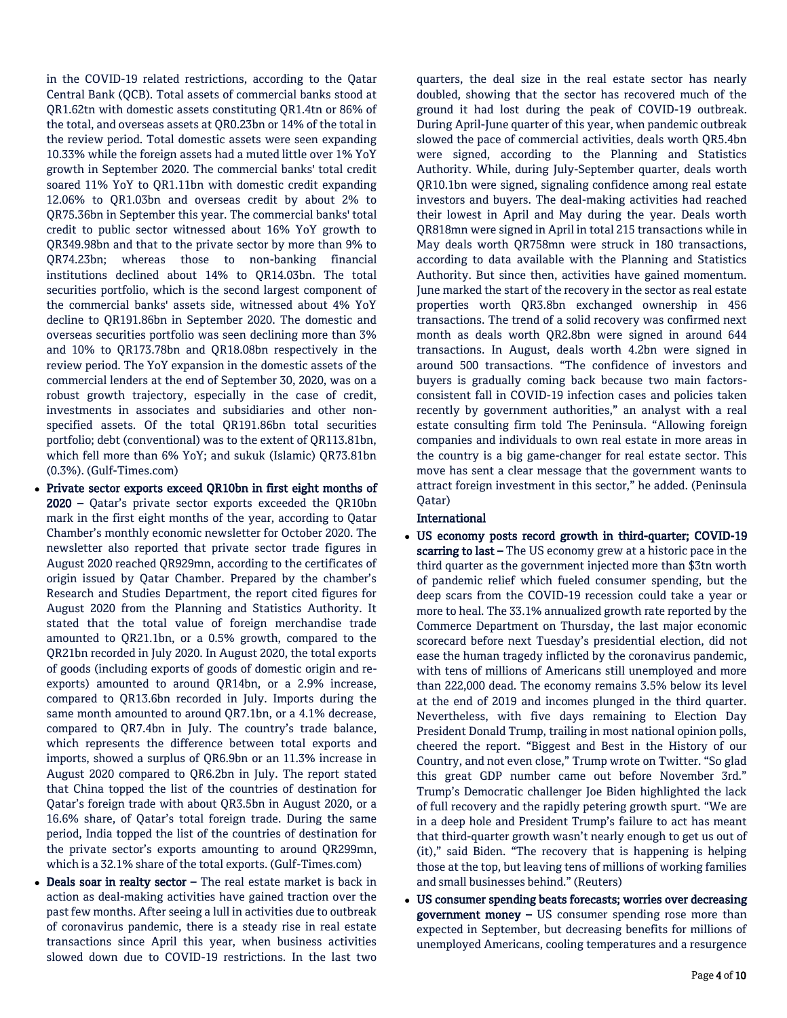in the COVID-19 related restrictions, according to the Qatar Central Bank (QCB). Total assets of commercial banks stood at QR1.62tn with domestic assets constituting QR1.4tn or 86% of the total, and overseas assets at QR0.23bn or 14% of the total in the review period. Total domestic assets were seen expanding 10.33% while the foreign assets had a muted little over 1% YoY growth in September 2020. The commercial banks' total credit soared 11% YoY to QR1.11bn with domestic credit expanding 12.06% to QR1.03bn and overseas credit by about 2% to QR75.36bn in September this year. The commercial banks' total credit to public sector witnessed about 16% YoY growth to QR349.98bn and that to the private sector by more than 9% to QR74.23bn; whereas those to non-banking financial institutions declined about 14% to QR14.03bn. The total securities portfolio, which is the second largest component of the commercial banks' assets side, witnessed about 4% YoY decline to QR191.86bn in September 2020. The domestic and overseas securities portfolio was seen declining more than 3% and 10% to QR173.78bn and QR18.08bn respectively in the review period. The YoY expansion in the domestic assets of the commercial lenders at the end of September 30, 2020, was on a robust growth trajectory, especially in the case of credit, investments in associates and subsidiaries and other nonspecified assets. Of the total QR191.86bn total securities portfolio; debt (conventional) was to the extent of QR113.81bn, which fell more than 6% YoY; and sukuk (Islamic) QR73.81bn (0.3%). (Gulf-Times.com)

- Private sector exports exceed QR10bn in first eight months of 2020 – Qatar's private sector exports exceeded the QR10bn mark in the first eight months of the year, according to Qatar Chamber's monthly economic newsletter for October 2020. The newsletter also reported that private sector trade figures in August 2020 reached QR929mn, according to the certificates of origin issued by Qatar Chamber. Prepared by the chamber's Research and Studies Department, the report cited figures for August 2020 from the Planning and Statistics Authority. It stated that the total value of foreign merchandise trade amounted to QR21.1bn, or a 0.5% growth, compared to the QR21bn recorded in July 2020. In August 2020, the total exports of goods (including exports of goods of domestic origin and reexports) amounted to around QR14bn, or a 2.9% increase, compared to QR13.6bn recorded in July. Imports during the same month amounted to around QR7.1bn, or a 4.1% decrease, compared to QR7.4bn in July. The country's trade balance, which represents the difference between total exports and imports, showed a surplus of QR6.9bn or an 11.3% increase in August 2020 compared to QR6.2bn in July. The report stated that China topped the list of the countries of destination for Qatar's foreign trade with about QR3.5bn in August 2020, or a 16.6% share, of Qatar's total foreign trade. During the same period, India topped the list of the countries of destination for the private sector's exports amounting to around QR299mn, which is a 32.1% share of the total exports. (Gulf-Times.com)
- Deals soar in realty sector The real estate market is back in action as deal-making activities have gained traction over the past few months. After seeing a lull in activities due to outbreak of coronavirus pandemic, there is a steady rise in real estate transactions since April this year, when business activities slowed down due to COVID-19 restrictions. In the last two

quarters, the deal size in the real estate sector has nearly doubled, showing that the sector has recovered much of the ground it had lost during the peak of COVID-19 outbreak. During April-June quarter of this year, when pandemic outbreak slowed the pace of commercial activities, deals worth QR5.4bn were signed, according to the Planning and Statistics Authority. While, during July-September quarter, deals worth QR10.1bn were signed, signaling confidence among real estate investors and buyers. The deal-making activities had reached their lowest in April and May during the year. Deals worth QR818mn were signed in April in total 215 transactions while in May deals worth QR758mn were struck in 180 transactions, according to data available with the Planning and Statistics Authority. But since then, activities have gained momentum. June marked the start of the recovery in the sector as real estate properties worth QR3.8bn exchanged ownership in 456 transactions. The trend of a solid recovery was confirmed next month as deals worth QR2.8bn were signed in around 644 transactions. In August, deals worth 4.2bn were signed in around 500 transactions. "The confidence of investors and buyers is gradually coming back because two main factorsconsistent fall in COVID-19 infection cases and policies taken recently by government authorities," an analyst with a real estate consulting firm told The Peninsula. "Allowing foreign companies and individuals to own real estate in more areas in the country is a big game-changer for real estate sector. This move has sent a clear message that the government wants to attract foreign investment in this sector," he added. (Peninsula Qatar)

# International

- US economy posts record growth in third-quarter; COVID-19 scarring to last - The US economy grew at a historic pace in the third quarter as the government injected more than \$3tn worth of pandemic relief which fueled consumer spending, but the deep scars from the COVID-19 recession could take a year or more to heal. The 33.1% annualized growth rate reported by the Commerce Department on Thursday, the last major economic scorecard before next Tuesday's presidential election, did not ease the human tragedy inflicted by the coronavirus pandemic, with tens of millions of Americans still unemployed and more than 222,000 dead. The economy remains 3.5% below its level at the end of 2019 and incomes plunged in the third quarter. Nevertheless, with five days remaining to Election Day President Donald Trump, trailing in most national opinion polls, cheered the report. "Biggest and Best in the History of our Country, and not even close," Trump wrote on Twitter. "So glad this great GDP number came out before November 3rd." Trump's Democratic challenger Joe Biden highlighted the lack of full recovery and the rapidly petering growth spurt. "We are in a deep hole and President Trump's failure to act has meant that third-quarter growth wasn't nearly enough to get us out of (it)," said Biden. "The recovery that is happening is helping those at the top, but leaving tens of millions of working families and small businesses behind." (Reuters)
- US consumer spending beats forecasts; worries over decreasing government money – US consumer spending rose more than expected in September, but decreasing benefits for millions of unemployed Americans, cooling temperatures and a resurgence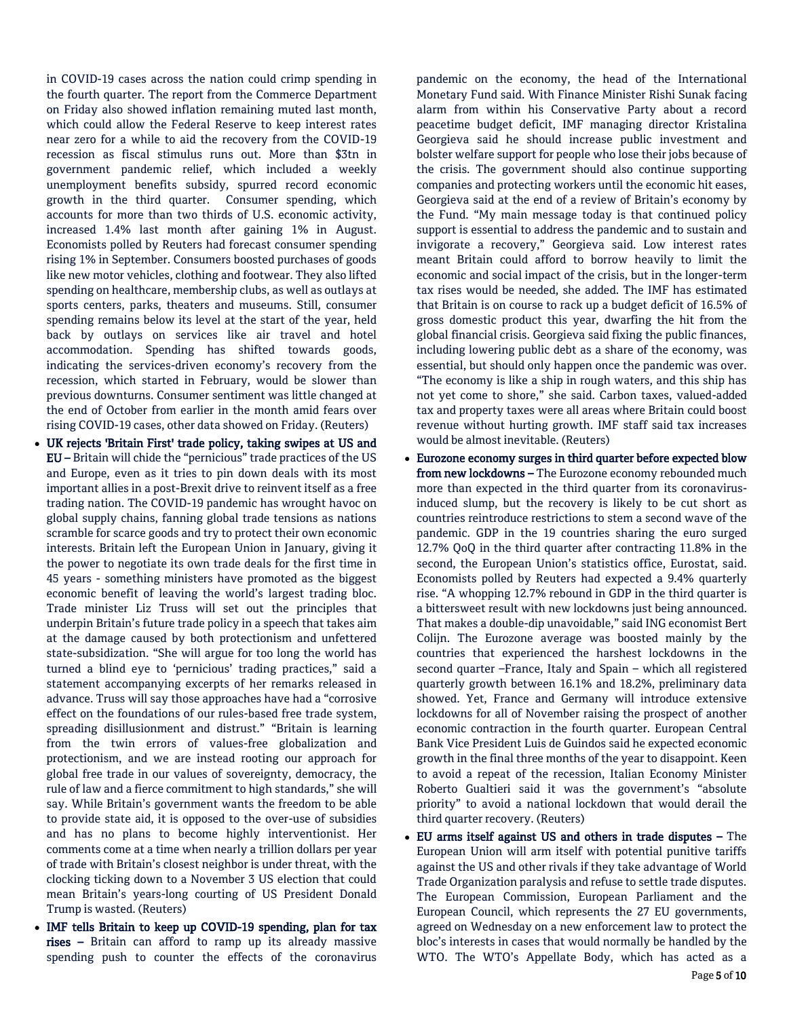in COVID-19 cases across the nation could crimp spending in the fourth quarter. The report from the Commerce Department on Friday also showed inflation remaining muted last month, which could allow the Federal Reserve to keep interest rates near zero for a while to aid the recovery from the COVID-19 recession as fiscal stimulus runs out. More than \$3tn in government pandemic relief, which included a weekly unemployment benefits subsidy, spurred record economic growth in the third quarter. Consumer spending, which accounts for more than two thirds of U.S. economic activity, increased 1.4% last month after gaining 1% in August. Economists polled by Reuters had forecast consumer spending rising 1% in September. Consumers boosted purchases of goods like new motor vehicles, clothing and footwear. They also lifted spending on healthcare, membership clubs, as well as outlays at sports centers, parks, theaters and museums. Still, consumer spending remains below its level at the start of the year, held back by outlays on services like air travel and hotel accommodation. Spending has shifted towards goods, indicating the services-driven economy's recovery from the recession, which started in February, would be slower than previous downturns. Consumer sentiment was little changed at the end of October from earlier in the month amid fears over rising COVID-19 cases, other data showed on Friday. (Reuters)

- UK rejects 'Britain First' trade policy, taking swipes at US and EU – Britain will chide the "pernicious" trade practices of the US and Europe, even as it tries to pin down deals with its most important allies in a post-Brexit drive to reinvent itself as a free trading nation. The COVID-19 pandemic has wrought havoc on global supply chains, fanning global trade tensions as nations scramble for scarce goods and try to protect their own economic interests. Britain left the European Union in January, giving it the power to negotiate its own trade deals for the first time in 45 years - something ministers have promoted as the biggest economic benefit of leaving the world's largest trading bloc. Trade minister Liz Truss will set out the principles that underpin Britain's future trade policy in a speech that takes aim at the damage caused by both protectionism and unfettered state-subsidization. "She will argue for too long the world has turned a blind eye to 'pernicious' trading practices," said a statement accompanying excerpts of her remarks released in advance. Truss will say those approaches have had a "corrosive effect on the foundations of our rules-based free trade system, spreading disillusionment and distrust." "Britain is learning from the twin errors of values-free globalization and protectionism, and we are instead rooting our approach for global free trade in our values of sovereignty, democracy, the rule of law and a fierce commitment to high standards," she will say. While Britain's government wants the freedom to be able to provide state aid, it is opposed to the over-use of subsidies and has no plans to become highly interventionist. Her comments come at a time when nearly a trillion dollars per year of trade with Britain's closest neighbor is under threat, with the clocking ticking down to a November 3 US election that could mean Britain's years-long courting of US President Donald Trump is wasted. (Reuters)
- IMF tells Britain to keep up COVID-19 spending, plan for tax rises – Britain can afford to ramp up its already massive spending push to counter the effects of the coronavirus

pandemic on the economy, the head of the International Monetary Fund said. With Finance Minister Rishi Sunak facing alarm from within his Conservative Party about a record peacetime budget deficit, IMF managing director Kristalina Georgieva said he should increase public investment and bolster welfare support for people who lose their jobs because of the crisis. The government should also continue supporting companies and protecting workers until the economic hit eases, Georgieva said at the end of a review of Britain's economy by the Fund. "My main message today is that continued policy support is essential to address the pandemic and to sustain and invigorate a recovery," Georgieva said. Low interest rates meant Britain could afford to borrow heavily to limit the economic and social impact of the crisis, but in the longer-term tax rises would be needed, she added. The IMF has estimated that Britain is on course to rack up a budget deficit of 16.5% of gross domestic product this year, dwarfing the hit from the global financial crisis. Georgieva said fixing the public finances, including lowering public debt as a share of the economy, was essential, but should only happen once the pandemic was over. "The economy is like a ship in rough waters, and this ship has not yet come to shore," she said. Carbon taxes, valued-added tax and property taxes were all areas where Britain could boost revenue without hurting growth. IMF staff said tax increases would be almost inevitable. (Reuters)

- Eurozone economy surges in third quarter before expected blow from new lockdowns - The Eurozone economy rebounded much more than expected in the third quarter from its coronavirusinduced slump, but the recovery is likely to be cut short as countries reintroduce restrictions to stem a second wave of the pandemic. GDP in the 19 countries sharing the euro surged 12.7% QoQ in the third quarter after contracting 11.8% in the second, the European Union's statistics office, Eurostat, said. Economists polled by Reuters had expected a 9.4% quarterly rise. "A whopping 12.7% rebound in GDP in the third quarter is a bittersweet result with new lockdowns just being announced. That makes a double-dip unavoidable," said ING economist Bert Colijn. The Eurozone average was boosted mainly by the countries that experienced the harshest lockdowns in the second quarter –France, Italy and Spain – which all registered quarterly growth between 16.1% and 18.2%, preliminary data showed. Yet, France and Germany will introduce extensive lockdowns for all of November raising the prospect of another economic contraction in the fourth quarter. European Central Bank Vice President Luis de Guindos said he expected economic growth in the final three months of the year to disappoint. Keen to avoid a repeat of the recession, Italian Economy Minister Roberto Gualtieri said it was the government's "absolute priority" to avoid a national lockdown that would derail the third quarter recovery. (Reuters)
- EU arms itself against US and others in trade disputes The European Union will arm itself with potential punitive tariffs against the US and other rivals if they take advantage of World Trade Organization paralysis and refuse to settle trade disputes. The European Commission, European Parliament and the European Council, which represents the 27 EU governments, agreed on Wednesday on a new enforcement law to protect the bloc's interests in cases that would normally be handled by the WTO. The WTO's Appellate Body, which has acted as a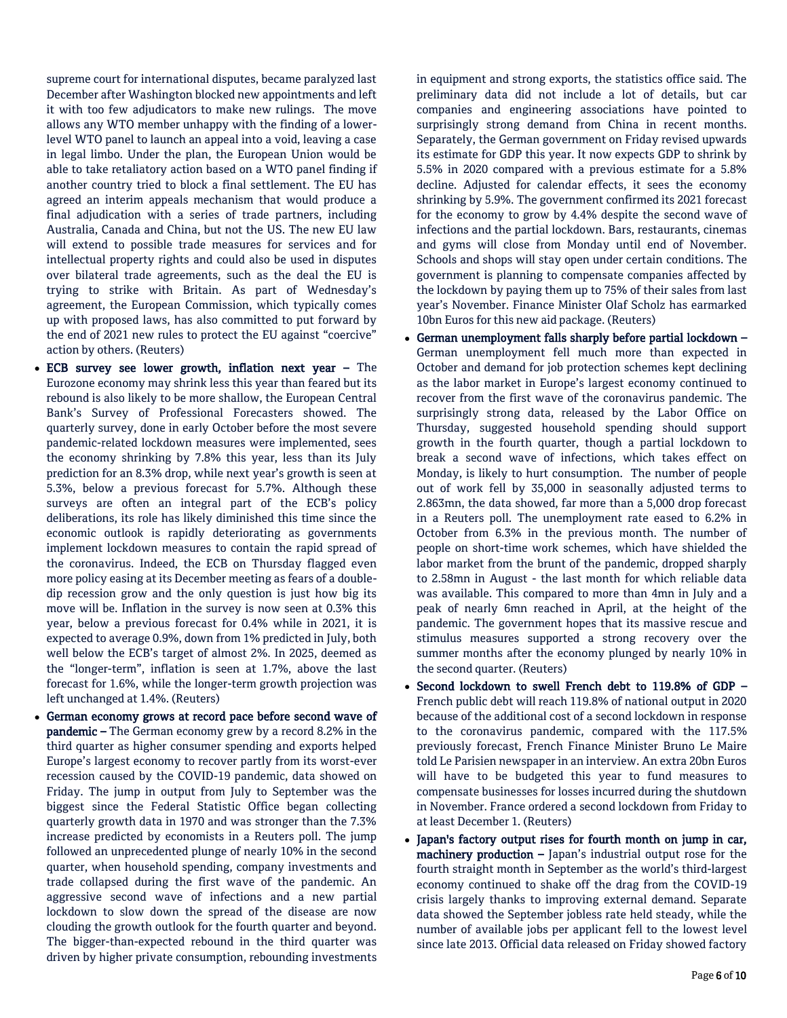supreme court for international disputes, became paralyzed last December after Washington blocked new appointments and left it with too few adjudicators to make new rulings. The move allows any WTO member unhappy with the finding of a lowerlevel WTO panel to launch an appeal into a void, leaving a case in legal limbo. Under the plan, the European Union would be able to take retaliatory action based on a WTO panel finding if another country tried to block a final settlement. The EU has agreed an interim appeals mechanism that would produce a final adjudication with a series of trade partners, including Australia, Canada and China, but not the US. The new EU law will extend to possible trade measures for services and for intellectual property rights and could also be used in disputes over bilateral trade agreements, such as the deal the EU is trying to strike with Britain. As part of Wednesday's agreement, the European Commission, which typically comes up with proposed laws, has also committed to put forward by the end of 2021 new rules to protect the EU against "coercive" action by others. (Reuters)

- ECB survey see lower growth, inflation next year The Eurozone economy may shrink less this year than feared but its rebound is also likely to be more shallow, the European Central Bank's Survey of Professional Forecasters showed. The quarterly survey, done in early October before the most severe pandemic-related lockdown measures were implemented, sees the economy shrinking by 7.8% this year, less than its July prediction for an 8.3% drop, while next year's growth is seen at 5.3%, below a previous forecast for 5.7%. Although these surveys are often an integral part of the ECB's policy deliberations, its role has likely diminished this time since the economic outlook is rapidly deteriorating as governments implement lockdown measures to contain the rapid spread of the coronavirus. Indeed, the ECB on Thursday flagged even more policy easing at its December meeting as fears of a doubledip recession grow and the only question is just how big its move will be. Inflation in the survey is now seen at 0.3% this year, below a previous forecast for 0.4% while in 2021, it is expected to average 0.9%, down from 1% predicted in July, both well below the ECB's target of almost 2%. In 2025, deemed as the "longer-term", inflation is seen at 1.7%, above the last forecast for 1.6%, while the longer-term growth projection was left unchanged at 1.4%. (Reuters)
- German economy grows at record pace before second wave of pandemic – The German economy grew by a record 8.2% in the third quarter as higher consumer spending and exports helped Europe's largest economy to recover partly from its worst-ever recession caused by the COVID-19 pandemic, data showed on Friday. The jump in output from July to September was the biggest since the Federal Statistic Office began collecting quarterly growth data in 1970 and was stronger than the 7.3% increase predicted by economists in a Reuters poll. The jump followed an unprecedented plunge of nearly 10% in the second quarter, when household spending, company investments and trade collapsed during the first wave of the pandemic. An aggressive second wave of infections and a new partial lockdown to slow down the spread of the disease are now clouding the growth outlook for the fourth quarter and beyond. The bigger-than-expected rebound in the third quarter was driven by higher private consumption, rebounding investments

in equipment and strong exports, the statistics office said. The preliminary data did not include a lot of details, but car companies and engineering associations have pointed to surprisingly strong demand from China in recent months. Separately, the German government on Friday revised upwards its estimate for GDP this year. It now expects GDP to shrink by 5.5% in 2020 compared with a previous estimate for a 5.8% decline. Adjusted for calendar effects, it sees the economy shrinking by 5.9%. The government confirmed its 2021 forecast for the economy to grow by 4.4% despite the second wave of infections and the partial lockdown. Bars, restaurants, cinemas and gyms will close from Monday until end of November. Schools and shops will stay open under certain conditions. The government is planning to compensate companies affected by the lockdown by paying them up to 75% of their sales from last year's November. Finance Minister Olaf Scholz has earmarked 10bn Euros for this new aid package. (Reuters)

- German unemployment falls sharply before partial lockdown German unemployment fell much more than expected in October and demand for job protection schemes kept declining as the labor market in Europe's largest economy continued to recover from the first wave of the coronavirus pandemic. The surprisingly strong data, released by the Labor Office on Thursday, suggested household spending should support growth in the fourth quarter, though a partial lockdown to break a second wave of infections, which takes effect on Monday, is likely to hurt consumption. The number of people out of work fell by 35,000 in seasonally adjusted terms to 2.863mn, the data showed, far more than a 5,000 drop forecast in a Reuters poll. The unemployment rate eased to 6.2% in October from 6.3% in the previous month. The number of people on short-time work schemes, which have shielded the labor market from the brunt of the pandemic, dropped sharply to 2.58mn in August - the last month for which reliable data was available. This compared to more than 4mn in July and a peak of nearly 6mn reached in April, at the height of the pandemic. The government hopes that its massive rescue and stimulus measures supported a strong recovery over the summer months after the economy plunged by nearly 10% in the second quarter. (Reuters)
- Second lockdown to swell French debt to 119.8% of GDP French public debt will reach 119.8% of national output in 2020 because of the additional cost of a second lockdown in response to the coronavirus pandemic, compared with the 117.5% previously forecast, French Finance Minister Bruno Le Maire told Le Parisien newspaper in an interview. An extra 20bn Euros will have to be budgeted this year to fund measures to compensate businesses for losses incurred during the shutdown in November. France ordered a second lockdown from Friday to at least December 1. (Reuters)
- Japan's factory output rises for fourth month on jump in car,  $$ fourth straight month in September as the world's third-largest economy continued to shake off the drag from the COVID-19 crisis largely thanks to improving external demand. Separate data showed the September jobless rate held steady, while the number of available jobs per applicant fell to the lowest level since late 2013. Official data released on Friday showed factory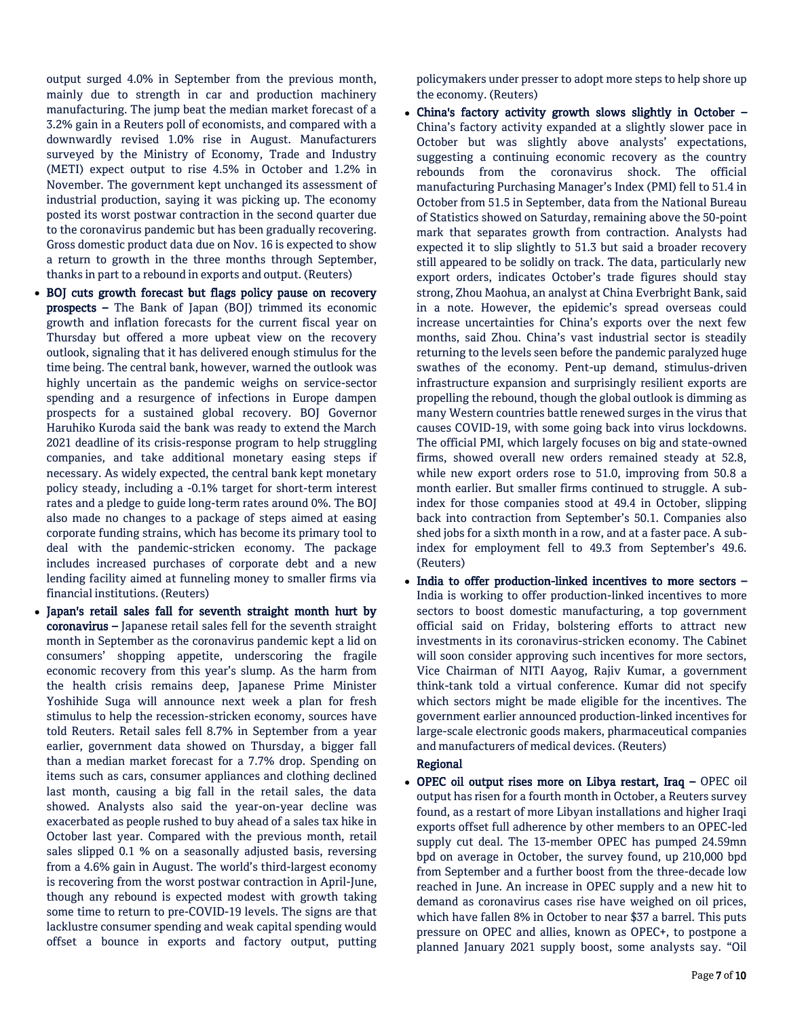output surged 4.0% in September from the previous month, mainly due to strength in car and production machinery manufacturing. The jump beat the median market forecast of a 3.2% gain in a Reuters poll of economists, and compared with a downwardly revised 1.0% rise in August. Manufacturers surveyed by the Ministry of Economy, Trade and Industry (METI) expect output to rise 4.5% in October and 1.2% in November. The government kept unchanged its assessment of industrial production, saying it was picking up. The economy posted its worst postwar contraction in the second quarter due to the coronavirus pandemic but has been gradually recovering. Gross domestic product data due on Nov. 16 is expected to show a return to growth in the three months through September, thanks in part to a rebound in exports and output. (Reuters)

- BOJ cuts growth forecast but flags policy pause on recovery prospects – The Bank of Japan (BOJ) trimmed its economic growth and inflation forecasts for the current fiscal year on Thursday but offered a more upbeat view on the recovery outlook, signaling that it has delivered enough stimulus for the time being. The central bank, however, warned the outlook was highly uncertain as the pandemic weighs on service-sector spending and a resurgence of infections in Europe dampen prospects for a sustained global recovery. BOJ Governor Haruhiko Kuroda said the bank was ready to extend the March 2021 deadline of its crisis-response program to help struggling companies, and take additional monetary easing steps if necessary. As widely expected, the central bank kept monetary policy steady, including a -0.1% target for short-term interest rates and a pledge to guide long-term rates around 0%. The BOJ also made no changes to a package of steps aimed at easing corporate funding strains, which has become its primary tool to deal with the pandemic-stricken economy. The package includes increased purchases of corporate debt and a new lending facility aimed at funneling money to smaller firms via financial institutions. (Reuters)
- Japan's retail sales fall for seventh straight month hurt by coronavirus – Japanese retail sales fell for the seventh straight month in September as the coronavirus pandemic kept a lid on consumers' shopping appetite, underscoring the fragile economic recovery from this year's slump. As the harm from the health crisis remains deep, Japanese Prime Minister Yoshihide Suga will announce next week a plan for fresh stimulus to help the recession-stricken economy, sources have told Reuters. Retail sales fell 8.7% in September from a year earlier, government data showed on Thursday, a bigger fall than a median market forecast for a 7.7% drop. Spending on items such as cars, consumer appliances and clothing declined last month, causing a big fall in the retail sales, the data showed. Analysts also said the year-on-year decline was exacerbated as people rushed to buy ahead of a sales tax hike in October last year. Compared with the previous month, retail sales slipped 0.1 % on a seasonally adjusted basis, reversing from a 4.6% gain in August. The world's third-largest economy is recovering from the worst postwar contraction in April-June, though any rebound is expected modest with growth taking some time to return to pre-COVID-19 levels. The signs are that lacklustre consumer spending and weak capital spending would offset a bounce in exports and factory output, putting

policymakers under presser to adopt more steps to help shore up the economy. (Reuters)

- China's factory activity growth slows slightly in October China's factory activity expanded at a slightly slower pace in October but was slightly above analysts' expectations, suggesting a continuing economic recovery as the country rebounds from the coronavirus shock. The official manufacturing Purchasing Manager's Index (PMI) fell to 51.4 in October from 51.5 in September, data from the National Bureau of Statistics showed on Saturday, remaining above the 50-point mark that separates growth from contraction. Analysts had expected it to slip slightly to 51.3 but said a broader recovery still appeared to be solidly on track. The data, particularly new export orders, indicates October's trade figures should stay strong, Zhou Maohua, an analyst at China Everbright Bank, said in a note. However, the epidemic's spread overseas could increase uncertainties for China's exports over the next few months, said Zhou. China's vast industrial sector is steadily returning to the levels seen before the pandemic paralyzed huge swathes of the economy. Pent-up demand, stimulus-driven infrastructure expansion and surprisingly resilient exports are propelling the rebound, though the global outlook is dimming as many Western countries battle renewed surges in the virus that causes COVID-19, with some going back into virus lockdowns. The official PMI, which largely focuses on big and state-owned firms, showed overall new orders remained steady at 52.8, while new export orders rose to 51.0, improving from 50.8 a month earlier. But smaller firms continued to struggle. A subindex for those companies stood at 49.4 in October, slipping back into contraction from September's 50.1. Companies also shed jobs for a sixth month in a row, and at a faster pace. A subindex for employment fell to 49.3 from September's 49.6. (Reuters)
- India to offer production-linked incentives to more sectors -India is working to offer production-linked incentives to more sectors to boost domestic manufacturing, a top government official said on Friday, bolstering efforts to attract new investments in its coronavirus-stricken economy. The Cabinet will soon consider approving such incentives for more sectors, Vice Chairman of NITI Aayog, Rajiv Kumar, a government think-tank told a virtual conference. Kumar did not specify which sectors might be made eligible for the incentives. The government earlier announced production-linked incentives for large-scale electronic goods makers, pharmaceutical companies and manufacturers of medical devices. (Reuters)

# Regional

 OPEC oil output rises more on Libya restart, Iraq – OPEC oil output has risen for a fourth month in October, a Reuters survey found, as a restart of more Libyan installations and higher Iraqi exports offset full adherence by other members to an OPEC-led supply cut deal. The 13-member OPEC has pumped 24.59mn bpd on average in October, the survey found, up 210,000 bpd from September and a further boost from the three-decade low reached in June. An increase in OPEC supply and a new hit to demand as coronavirus cases rise have weighed on oil prices, which have fallen 8% in October to near \$37 a barrel. This puts pressure on OPEC and allies, known as OPEC+, to postpone a planned January 2021 supply boost, some analysts say. "Oil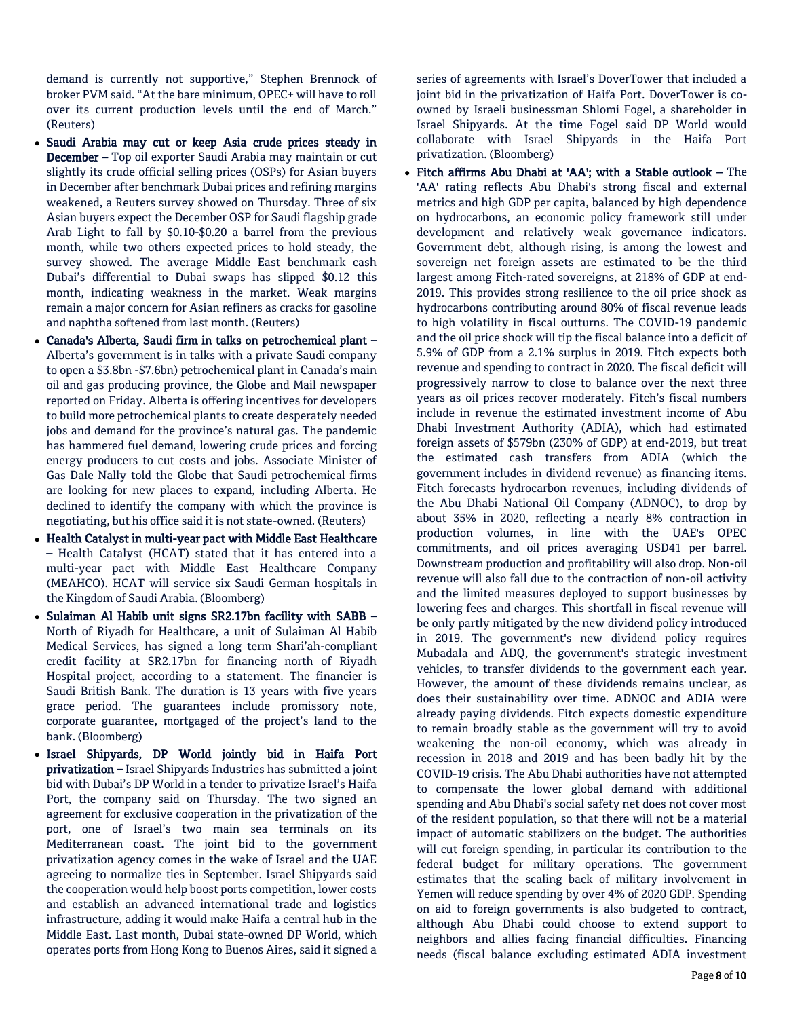demand is currently not supportive," Stephen Brennock of broker PVM said. "At the bare minimum, OPEC+ will have to roll over its current production levels until the end of March." (Reuters)

- Saudi Arabia may cut or keep Asia crude prices steady in December – Top oil exporter Saudi Arabia may maintain or cut slightly its crude official selling prices (OSPs) for Asian buyers in December after benchmark Dubai prices and refining margins weakened, a Reuters survey showed on Thursday. Three of six Asian buyers expect the December OSP for Saudi flagship grade Arab Light to fall by \$0.10-\$0.20 a barrel from the previous month, while two others expected prices to hold steady, the survey showed. The average Middle East benchmark cash Dubai's differential to Dubai swaps has slipped \$0.12 this month, indicating weakness in the market. Weak margins remain a major concern for Asian refiners as cracks for gasoline and naphtha softened from last month. (Reuters)
- Canada's Alberta, Saudi firm in talks on petrochemical plant Alberta's government is in talks with a private Saudi company to open a \$3.8bn -\$7.6bn) petrochemical plant in Canada's main oil and gas producing province, the Globe and Mail newspaper reported on Friday. Alberta is offering incentives for developers to build more petrochemical plants to create desperately needed jobs and demand for the province's natural gas. The pandemic has hammered fuel demand, lowering crude prices and forcing energy producers to cut costs and jobs. Associate Minister of Gas Dale Nally told the Globe that Saudi petrochemical firms are looking for new places to expand, including Alberta. He declined to identify the company with which the province is negotiating, but his office said it is not state-owned. (Reuters)
- Health Catalyst in multi-year pact with Middle East Healthcare – Health Catalyst (HCAT) stated that it has entered into a multi-year pact with Middle East Healthcare Company (MEAHCO). HCAT will service six Saudi German hospitals in the Kingdom of Saudi Arabia. (Bloomberg)
- Sulaiman Al Habib unit signs SR2.17bn facility with SABB North of Riyadh for Healthcare, a unit of Sulaiman Al Habib Medical Services, has signed a long term Shari'ah-compliant credit facility at SR2.17bn for financing north of Riyadh Hospital project, according to a statement. The financier is Saudi British Bank. The duration is 13 years with five years grace period. The guarantees include promissory note, corporate guarantee, mortgaged of the project's land to the bank. (Bloomberg)
- Israel Shipyards, DP World jointly bid in Haifa Port privatization – Israel Shipyards Industries has submitted a joint bid with Dubai's DP World in a tender to privatize Israel's Haifa Port, the company said on Thursday. The two signed an agreement for exclusive cooperation in the privatization of the port, one of Israel's two main sea terminals on its Mediterranean coast. The joint bid to the government privatization agency comes in the wake of Israel and the UAE agreeing to normalize ties in September. Israel Shipyards said the cooperation would help boost ports competition, lower costs and establish an advanced international trade and logistics infrastructure, adding it would make Haifa a central hub in the Middle East. Last month, Dubai state-owned DP World, which operates ports from Hong Kong to Buenos Aires, said it signed a

series of agreements with Israel's DoverTower that included a joint bid in the privatization of Haifa Port. DoverTower is coowned by Israeli businessman Shlomi Fogel, a shareholder in Israel Shipyards. At the time Fogel said DP World would collaborate with Israel Shipyards in the Haifa Port privatization. (Bloomberg)

 Fitch affirms Abu Dhabi at 'AA'; with a Stable outlook – The 'AA' rating reflects Abu Dhabi's strong fiscal and external metrics and high GDP per capita, balanced by high dependence on hydrocarbons, an economic policy framework still under development and relatively weak governance indicators. Government debt, although rising, is among the lowest and sovereign net foreign assets are estimated to be the third largest among Fitch-rated sovereigns, at 218% of GDP at end-2019. This provides strong resilience to the oil price shock as hydrocarbons contributing around 80% of fiscal revenue leads to high volatility in fiscal outturns. The COVID-19 pandemic and the oil price shock will tip the fiscal balance into a deficit of 5.9% of GDP from a 2.1% surplus in 2019. Fitch expects both revenue and spending to contract in 2020. The fiscal deficit will progressively narrow to close to balance over the next three years as oil prices recover moderately. Fitch's fiscal numbers include in revenue the estimated investment income of Abu Dhabi Investment Authority (ADIA), which had estimated foreign assets of \$579bn (230% of GDP) at end-2019, but treat the estimated cash transfers from ADIA (which the government includes in dividend revenue) as financing items. Fitch forecasts hydrocarbon revenues, including dividends of the Abu Dhabi National Oil Company (ADNOC), to drop by about 35% in 2020, reflecting a nearly 8% contraction in production volumes, in line with the UAE's OPEC commitments, and oil prices averaging USD41 per barrel. Downstream production and profitability will also drop. Non-oil revenue will also fall due to the contraction of non-oil activity and the limited measures deployed to support businesses by lowering fees and charges. This shortfall in fiscal revenue will be only partly mitigated by the new dividend policy introduced in 2019. The government's new dividend policy requires Mubadala and ADQ, the government's strategic investment vehicles, to transfer dividends to the government each year. However, the amount of these dividends remains unclear, as does their sustainability over time. ADNOC and ADIA were already paying dividends. Fitch expects domestic expenditure to remain broadly stable as the government will try to avoid weakening the non-oil economy, which was already in recession in 2018 and 2019 and has been badly hit by the COVID-19 crisis. The Abu Dhabi authorities have not attempted to compensate the lower global demand with additional spending and Abu Dhabi's social safety net does not cover most of the resident population, so that there will not be a material impact of automatic stabilizers on the budget. The authorities will cut foreign spending, in particular its contribution to the federal budget for military operations. The government estimates that the scaling back of military involvement in Yemen will reduce spending by over 4% of 2020 GDP. Spending on aid to foreign governments is also budgeted to contract, although Abu Dhabi could choose to extend support to neighbors and allies facing financial difficulties. Financing needs (fiscal balance excluding estimated ADIA investment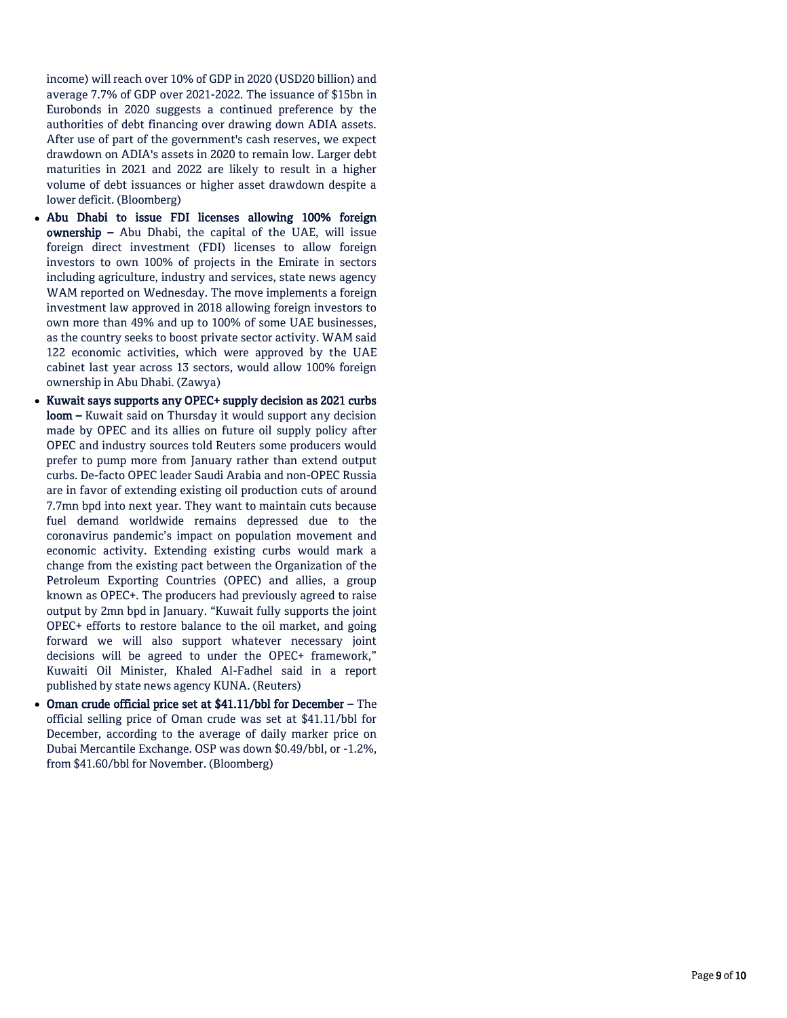income) will reach over 10% of GDP in 2020 (USD20 billion) and average 7.7% of GDP over 2021 -2022. The issuance of \$15bn in Eurobonds in 2020 suggests a continued preference by the authorities of debt financing over drawing down ADIA assets. After use of part of the government's cash reserves, we expect drawdown on ADIA's assets in 2020 to remain low. Larger debt maturities in 2021 and 2022 are likely to result in a higher volume of debt issuances or higher asset drawdown despite a lower deficit. (Bloomberg)

- Abu Dhabi to issue FDI licenses allowing 100% foreign ownership - Abu Dhabi, the capital of the UAE, will issue foreign direct investment (FDI) licenses to allow foreign investors to own 100% of projects in the Emirate in sectors including agriculture, industry and services, state news agency WAM reported on Wednesday. The move implements a foreign investment law approved in 2018 allowing foreign investors to own more than 49% and up to 100% of some UAE businesses, as the country seeks to boost private sector activity. WAM said 122 economic activities, which were approved by the UAE cabinet last year across 13 sectors, would allow 100% foreign ownership in Abu Dhabi. (Zawya)
- Kuwait says supports any OPEC+ supply decision as 2021 curbs **loom –** Kuwait said on Thursday it would support any decision made by OPEC and its allies on future oil supply policy after OPEC and industry sources told Reuters some producers would prefer to pump more from January rather than extend output curbs. De -facto OPEC leader Saudi Arabia and non -OPEC Russia are in favor of extending existing oil production cuts of around 7.7mn bpd into next year. They want to maintain cuts because fuel demand worldwide remains depressed due to the coronavirus pandemic's impact on population movement and economic activity. Extending existing curbs would mark a change from the existing pact between the Organization of the Petroleum Exporting Countries (OPEC) and allies, a group known as OPEC+. The producers had previously agreed to raise output by 2mn bpd in January. "Kuwait fully supports the joint OPEC+ efforts to restore balance to the oil market, and going forward we will also support whatever necessary joint decisions will be agreed to under the OPEC+ framework," Kuwaiti Oil Minister, Khaled Al -Fadhel said in a report published by state news agency KUNA. (Reuters)
- Oman crude official price set at \$41.11/bbl for December The official selling price of Oman crude was set at \$41.11/bbl for December, according to the average of daily marker price on Dubai Mercantile Exchange. OSP was down \$0.49/bbl, or -1.2%, from \$41.60/bbl for November. (Bloomberg)